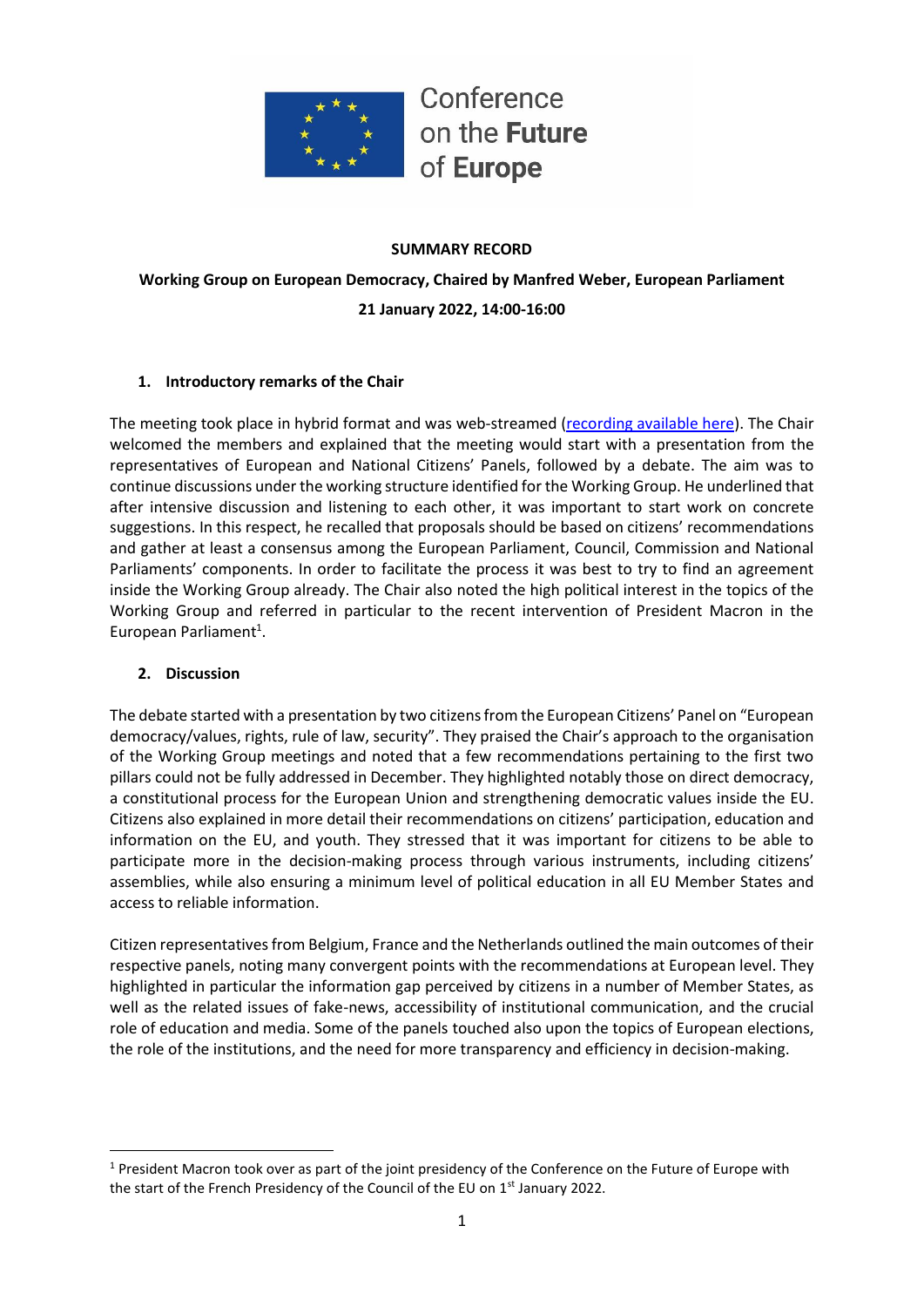

#### **SUMMARY RECORD**

**Working Group on European Democracy, Chaired by Manfred Weber, European Parliament 21 January 2022, 14:00-16:00**

### **1. Introductory remarks of the Chair**

The meeting took place in hybrid format and was web-streamed [\(recording available here\)](https://multimedia.europarl.europa.eu/webstreaming/conference-on-future-of-europe-workgroup-on-european-democracy_20220121-1400-SPECIAL-OTHER). The Chair welcomed the members and explained that the meeting would start with a presentation from the representatives of European and National Citizens' Panels, followed by a debate. The aim was to continue discussions under the working structure identified for the Working Group. He underlined that after intensive discussion and listening to each other, it was important to start work on concrete suggestions. In this respect, he recalled that proposals should be based on citizens' recommendations and gather at least a consensus among the European Parliament, Council, Commission and National Parliaments' components. In order to facilitate the process it was best to try to find an agreement inside the Working Group already. The Chair also noted the high political interest in the topics of the Working Group and referred in particular to the recent intervention of President Macron in the European Parliament<sup>1</sup>.

### **2. Discussion**

The debate started with a presentation by two citizens from the European Citizens' Panel on "European democracy/values, rights, rule of law, security". They praised the Chair's approach to the organisation of the Working Group meetings and noted that a few recommendations pertaining to the first two pillars could not be fully addressed in December. They highlighted notably those on direct democracy, a constitutional process for the European Union and strengthening democratic values inside the EU. Citizens also explained in more detail their recommendations on citizens' participation, education and information on the EU, and youth. They stressed that it was important for citizens to be able to participate more in the decision-making process through various instruments, including citizens' assemblies, while also ensuring a minimum level of political education in all EU Member States and access to reliable information.

Citizen representatives from Belgium, France and the Netherlands outlined the main outcomes of their respective panels, noting many convergent points with the recommendations at European level. They highlighted in particular the information gap perceived by citizens in a number of Member States, as well as the related issues of fake-news, accessibility of institutional communication, and the crucial role of education and media. Some of the panels touched also upon the topics of European elections, the role of the institutions, and the need for more transparency and efficiency in decision-making.

<sup>&</sup>lt;sup>1</sup> President Macron took over as part of the joint presidency of the Conference on the Future of Europe with the start of the French Presidency of the Council of the EU on 1<sup>st</sup> January 2022.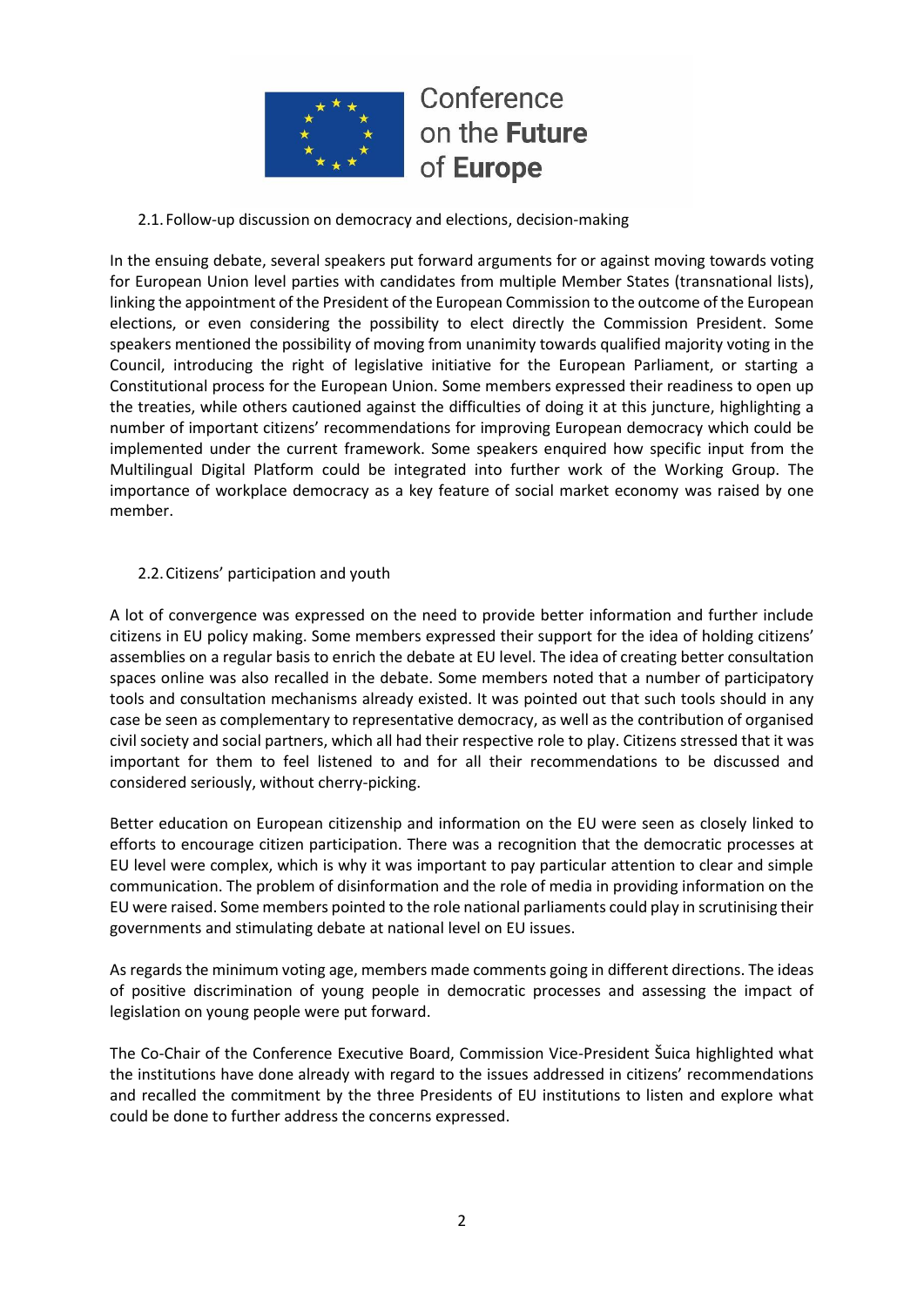

## 2.1.Follow-up discussion on democracy and elections, decision-making

In the ensuing debate, several speakers put forward arguments for or against moving towards voting for European Union level parties with candidates from multiple Member States (transnational lists), linking the appointment of the President of the European Commission to the outcome of the European elections, or even considering the possibility to elect directly the Commission President. Some speakers mentioned the possibility of moving from unanimity towards qualified majority voting in the Council, introducing the right of legislative initiative for the European Parliament, or starting a Constitutional process for the European Union. Some members expressed their readiness to open up the treaties, while others cautioned against the difficulties of doing it at this juncture, highlighting a number of important citizens' recommendations for improving European democracy which could be implemented under the current framework. Some speakers enquired how specific input from the Multilingual Digital Platform could be integrated into further work of the Working Group. The importance of workplace democracy as a key feature of social market economy was raised by one member.

### 2.2.Citizens' participation and youth

A lot of convergence was expressed on the need to provide better information and further include citizens in EU policy making. Some members expressed their support for the idea of holding citizens' assemblies on a regular basis to enrich the debate at EU level. The idea of creating better consultation spaces online was also recalled in the debate. Some members noted that a number of participatory tools and consultation mechanisms already existed. It was pointed out that such tools should in any case be seen as complementary to representative democracy, as well as the contribution of organised civil society and social partners, which all had their respective role to play. Citizens stressed that it was important for them to feel listened to and for all their recommendations to be discussed and considered seriously, without cherry-picking.

Better education on European citizenship and information on the EU were seen as closely linked to efforts to encourage citizen participation. There was a recognition that the democratic processes at EU level were complex, which is why it was important to pay particular attention to clear and simple communication. The problem of disinformation and the role of media in providing information on the EU were raised. Some members pointed to the role national parliaments could play in scrutinising their governments and stimulating debate at national level on EU issues.

As regards the minimum voting age, members made comments going in different directions. The ideas of positive discrimination of young people in democratic processes and assessing the impact of legislation on young people were put forward.

The Co-Chair of the Conference Executive Board, Commission Vice-President Šuica highlighted what the institutions have done already with regard to the issues addressed in citizens' recommendations and recalled the commitment by the three Presidents of EU institutions to listen and explore what could be done to further address the concerns expressed.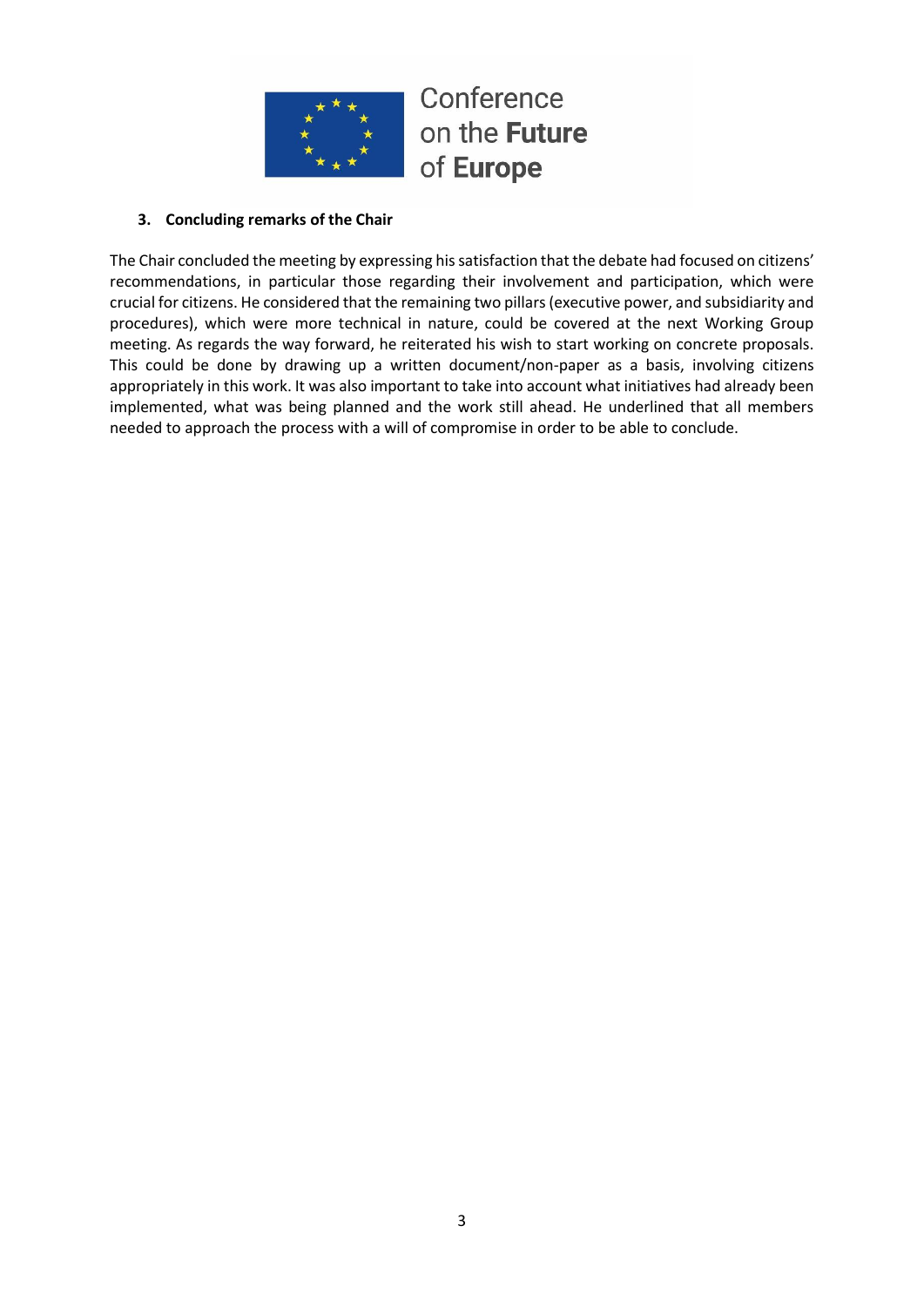## **3. Concluding remarks of the Chair**

The Chair concluded the meeting by expressing his satisfaction that the debate had focused on citizens' recommendations, in particular those regarding their involvement and participation, which were crucial for citizens. He considered that the remaining two pillars (executive power, and subsidiarity and procedures), which were more technical in nature, could be covered at the next Working Group meeting. As regards the way forward, he reiterated his wish to start working on concrete proposals. This could be done by drawing up a written document/non-paper as a basis, involving citizens appropriately in this work. It was also important to take into account what initiatives had already been implemented, what was being planned and the work still ahead. He underlined that all members needed to approach the process with a will of compromise in order to be able to conclude.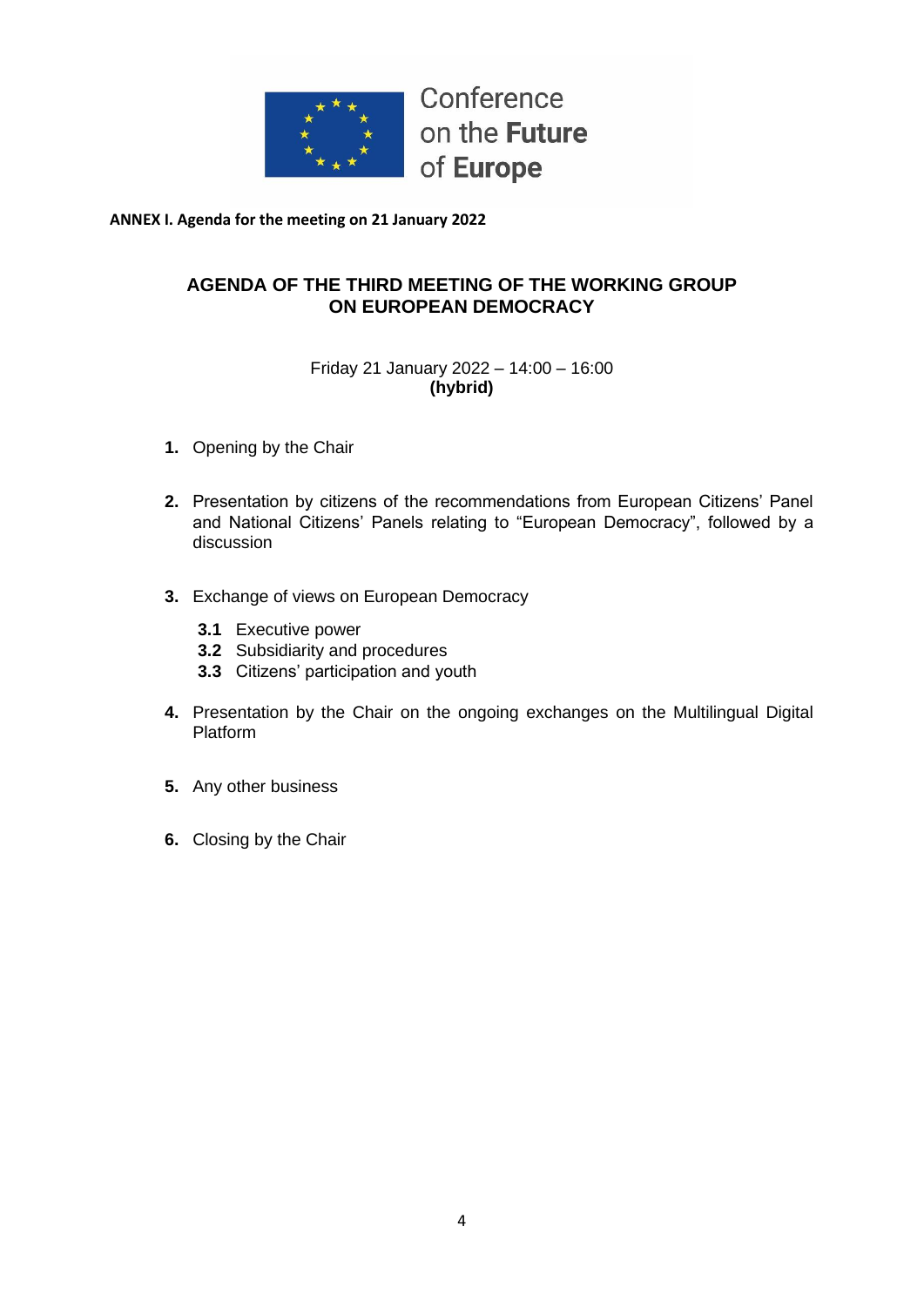

**ANNEX I. Agenda for the meeting on 21 January 2022**

## **AGENDA OF THE THIRD MEETING OF THE WORKING GROUP ON EUROPEAN DEMOCRACY**

## Friday 21 January 2022 – 14:00 – 16:00 **(hybrid)**

- **1.** Opening by the Chair
- **2.** Presentation by citizens of the recommendations from European Citizens' Panel and National Citizens' Panels relating to "European Democracy", followed by a discussion
- **3.** Exchange of views on European Democracy
	- **3.1** Executive power
	- **3.2** Subsidiarity and procedures
	- **3.3** Citizens' participation and youth
- **4.** Presentation by the Chair on the ongoing exchanges on the Multilingual Digital Platform
- **5.** Any other business
- **6.** Closing by the Chair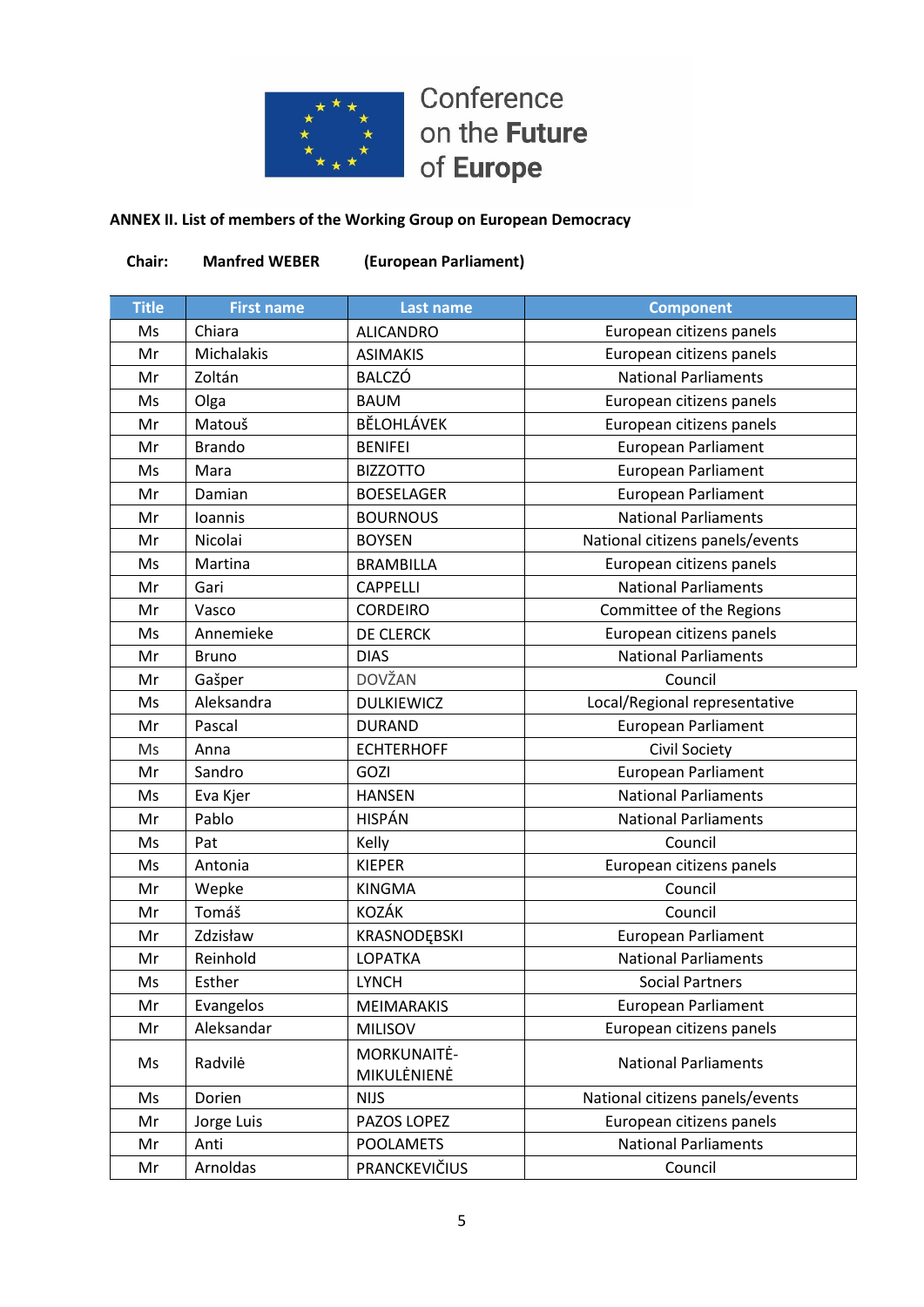

## **ANNEX II. List of members of the Working Group on European Democracy**

| Chair:       | <b>Manfred WEBER</b> | (European Parliament)      |                                 |
|--------------|----------------------|----------------------------|---------------------------------|
| <b>Title</b> | <b>First name</b>    | <b>Last name</b>           | <b>Component</b>                |
| Ms           | Chiara               | <b>ALICANDRO</b>           | European citizens panels        |
| Mr           | Michalakis           | <b>ASIMAKIS</b>            | European citizens panels        |
| Mr           | Zoltán               | <b>BALCZÓ</b>              | <b>National Parliaments</b>     |
| Ms           | Olga                 | <b>BAUM</b>                | European citizens panels        |
| Mr           | Matouš               | BĚLOHLÁVEK                 | European citizens panels        |
| Mr           | <b>Brando</b>        | <b>BENIFEI</b>             | <b>European Parliament</b>      |
| Ms           | Mara                 | <b>BIZZOTTO</b>            | European Parliament             |
| Mr           | Damian               | <b>BOESELAGER</b>          | <b>European Parliament</b>      |
| Mr           | Ioannis              | <b>BOURNOUS</b>            | <b>National Parliaments</b>     |
| Mr           | Nicolai              | <b>BOYSEN</b>              | National citizens panels/events |
| Ms           | Martina              | <b>BRAMBILLA</b>           | European citizens panels        |
| Mr           | Gari                 | <b>CAPPELLI</b>            | <b>National Parliaments</b>     |
| Mr           | Vasco                | <b>CORDEIRO</b>            | Committee of the Regions        |
| Ms           | Annemieke            | DE CLERCK                  | European citizens panels        |
| Mr           | <b>Bruno</b>         | <b>DIAS</b>                | <b>National Parliaments</b>     |
| Mr           | Gašper               | <b>DOVŽAN</b>              | Council                         |
| Ms           | Aleksandra           | <b>DULKIEWICZ</b>          | Local/Regional representative   |
| Mr           | Pascal               | <b>DURAND</b>              | <b>European Parliament</b>      |
| Ms           | Anna                 | <b>ECHTERHOFF</b>          | Civil Society                   |
| Mr           | Sandro               | GOZI                       | <b>European Parliament</b>      |
| Ms           | Eva Kjer             | <b>HANSEN</b>              | <b>National Parliaments</b>     |
| Mr           | Pablo                | <b>HISPÁN</b>              | <b>National Parliaments</b>     |
| Ms           | Pat                  | Kelly                      | Council                         |
| Ms           | Antonia              | <b>KIEPER</b>              | European citizens panels        |
| Mr           | Wepke                | <b>KINGMA</b>              | Council                         |
| Mr           | Tomáš                | KOZÁK                      | Council                         |
| Mr           | Zdzisław             | KRASNODĘBSKI               | <b>European Parliament</b>      |
| Mr           | Reinhold             | LOPATKA                    | <b>National Parliaments</b>     |
| Ms           | Esther               | <b>LYNCH</b>               | <b>Social Partners</b>          |
| Mr           | Evangelos            | MEIMARAKIS                 | <b>European Parliament</b>      |
| Mr           | Aleksandar           | <b>MILISOV</b>             | European citizens panels        |
| Ms           | Radvilė              | MORKUNAITĖ-<br>MIKULĖNIENĖ | <b>National Parliaments</b>     |
| Ms           | Dorien               | <b>NIJS</b>                | National citizens panels/events |
| Mr           | Jorge Luis           | PAZOS LOPEZ                | European citizens panels        |
| Mr           | Anti                 | <b>POOLAMETS</b>           | <b>National Parliaments</b>     |
| Mr           | Arnoldas             | PRANCKEVIČIUS              | Council                         |